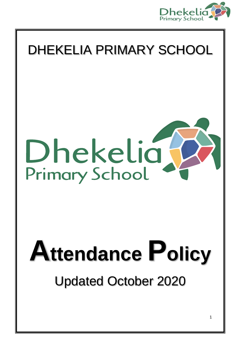

# DHEKELIA PRIMARY SCHOOL Dhekelia 1 Primary School **Attendance Policy** Updated October 2020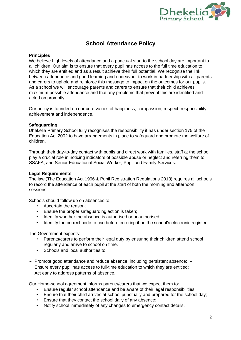

# **School Attendance Policy**

#### **Principles**

We believe high levels of attendance and a punctual start to the school day are important to all children. Our aim is to ensure that every pupil has access to the full time education to which they are entitled and as a result achieve their full potential. We recognise the link between attendance and good learning and endeavour to work in partnership with all parents and carers to uphold and reinforce this message to impact on the outcomes for our pupils. As a school we will encourage parents and carers to ensure that their child achieves maximum possible attendance and that any problems that prevent this are identified and acted on promptly.

Our policy is founded on our core values of happiness, compassion, respect, responsibility, achievement and independence.

#### **Safeguarding**

Dhekelia Primary School fully recognises the responsibility it has under section 175 of the Education Act 2002 to have arrangements in place to safeguard and promote the welfare of children.

Through their day-to-day contact with pupils and direct work with families, staff at the school play a crucial role in noticing indicators of possible abuse or neglect and referring them to SSAFA, and Senior Educational Social Worker, Pupil and Family Services.

#### **Legal Requirements**

The law (The Education Act 1996 & Pupil Registration Regulations 2013) requires all schools to record the attendance of each pupil at the start of both the morning and afternoon sessions.

Schools should follow up on absences to:

- Ascertain the reason;
- Ensure the proper safeguarding action is taken;
- Identify whether the absence is authorised or unauthorised;
- Identify the correct code to use before entering it on the school's electronic register.

The Government expects:

- Parents/carers to perform their legal duty by ensuring their children attend school regularly and arrive to school on time.
- Schools and local authorities to:
- Promote good attendance and reduce absence, including persistent absence; -Ensure every pupil has access to full-time education to which they are entitled;
- Act early to address patterns of absence.

Our Home-school agreement informs parents/carers that we expect them to:

- Ensure regular school attendance and be aware of their legal responsibilities;
- Ensure that their child arrives at school punctually and prepared for the school day;
- Ensure that they contact the school daily of any absence;
- Notify school immediately of any changes to emergency contact details.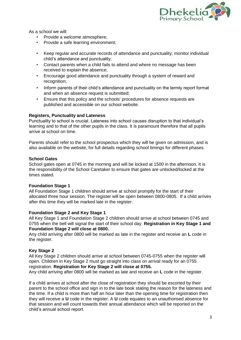

As a school we will:

- Provide a welcome atmosphere;
- Provide a safe learning environment;
- Keep regular and accurate records of attendance and punctuality; monitor individual child's attendance and punctuality;
- Contact parents when a child fails to attend and where no message has been received to explain the absence;
- Encourage good attendance and punctuality through a system of reward and recognition;
- Inform parents of their child's attendance and punctuality on the termly report format and when an absence request is submitted;
- Ensure that this policy and the schools' procedures for absence requests are published and accessible on our school website.

## **Registers, Punctuality and Lateness**

Punctuality to school is crucial. Lateness into school causes disruption to that individual's learning and to that of the other pupils in the class. It is paramount therefore that all pupils arrive at school on time.

Parents should refer to the school prospectus which they will be given on admission, and is also available on the website, for full details regarding school timings for different phases.

#### **School Gates**

School gates open at 0745 in the morning and will be locked at 1500 in the afternoon. It is the responsibility of the School Caretaker to ensure that gates are unlocked/locked at the times stated.

#### **Foundation Stage 1**

All Foundation Stage 1 children should arrive at school promptly for the start of their allocated three hour session. The register will be open between 0800-0805. If a child arrives after this time they will be marked late in the register.

#### **Foundation Stage 2 and Key Stage 1**

All Key Stage 1 and Foundation Stage 2 children should arrive at school between 0745 and 0755 when the bell will signal the start of their school day. **Registration in Key Stage 1 and Foundation Stage 2 will close at 0800.** 

Any child arriving after 0800 will be marked as late in the register and receive an **L** code in the register.

## **Key Stage 2**

All Key Stage 2 children should arrive at school between 0745-0755 when the register will open. Children in Key Stage 2 must go straight into class on arrival ready for an 0755 registration. **Registration for Key Stage 2 will close at 0755.** 

Any child arriving after 0800 will be marked as late and receive an **L** code in the register.

If a child arrives at school after the close of registration they should be escorted by their parent to the school office and sign in to the late book stating the reason for the lateness and the time. If a child is more than half an hour later than the opening time for registration then they will receive a **U** code in the register. A **U** code equates to an unauthorised absence for that session and will count towards their annual attendance which will be reported on the child's annual school report.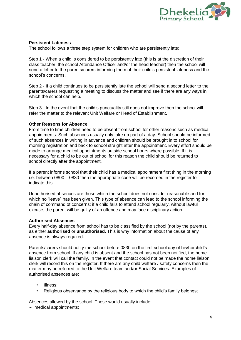

#### **Persistent Lateness**

The school follows a three step system for children who are persistently late:

Step 1 - When a child is considered to be persistently late (this is at the discretion of their class teacher, the school Attendance Officer and/or the head teacher) then the school will send a letter to the parents/carers informing them of their child's persistent lateness and the school's concerns.

Step 2 - If a child continues to be persistently late the school will send a second letter to the parents/carers requesting a meeting to discuss the matter and see if there are any ways in which the school can help.

Step 3 - In the event that the child's punctuality still does not improve then the school will refer the matter to the relevant Unit Welfare or Head of Establishment.

#### **Other Reasons for Absence**

From time to time children need to be absent from school for other reasons such as medical appointments. Such absences usually only take up part of a day. School should be informed of such absences in writing in advance and children should be brought in to school for morning registration and back to school straight after the appointment. Every effort should be made to arrange medical appointments outside school hours where possible. If it is necessary for a child to be out of school for this reason the child should be returned to school directly after the appointment.

If a parent informs school that their child has a medical appointment first thing in the morning i.e. between 0800 – 0830 then the appropriate code will be recorded in the register to indicate this.

Unauthorised absences are those which the school does not consider reasonable and for which no "leave" has been given. This type of absence can lead to the school informing the chain of command of concerns; if a child fails to attend school regularly, without lawful excuse, the parent will be guilty of an offence and may face disciplinary action.

#### **Authorised Absences**

Every half-day absence from school has to be classified by the school (not by the parents), as either **authorised** or **unauthorised.** This is why information about the cause of any absence is always required.

Parents/carers should notify the school before 0830 on the first school day of his/herchild's absence from school. If any child is absent and the school has not been notified, the home liaison clerk will call the family. In the event that contact could not be made the home liaison clerk will record this on the register. If there are any child welfare / safety concerns then the matter may be referred to the Unit Welfare team and/or Social Services. Examples of authorised absences are:

- Illness;
- Religious observance by the religious body to which the child's family belongs;

Absences allowed by the school. These would usually include:

- medical appointments;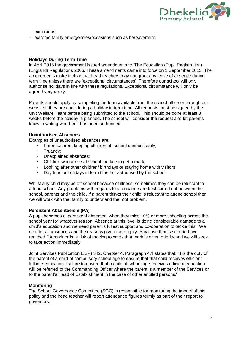

- exclusions;

- extreme family emergencies/occasions such as bereavement.

# **Holidays During Term Time**

In April 2013 the government issued amendments to 'The Education (Pupil Registration) (England) Regulations 2006. These amendments came into force on 1 September 2013. The amendments make it clear that head teachers may not grant any leave of absence during term time unless there are 'exceptional circumstances'. Therefore our school will only authorise holidays in line with these regulations. Exceptional circumstance will only be agreed very rarely.

Parents should apply by completing the form available from the school office or through our website if they are considering a holiday in term time. All requests must be signed by the Unit Welfare Team before being submitted to the school. This should be done at least 3 weeks before the holiday is planned. The school will consider the request and let parents know in writing whether it has been authorised.

## **Unauthorised Absences**

Examples of unauthorised absences are:

- Parents/carers keeping children off school unnecessarily;
- Truancy;
- Unexplained absences;
- Children who arrive at school too late to get a mark:
- Looking after other children/ birthdays or staying home with visitors;
- Day trips or holidays in term time not authorised by the school.

Whilst any child may be off school because of illness, sometimes they can be reluctant to attend school. Any problems with regards to attendance are best sorted out between the school, parents and the child. If a parent thinks their child is reluctant to attend school then we will work with that family to understand the root problem.

## **Persistent Absenteeism (PA)**

A pupil becomes a 'persistent absentee' when they miss 10% or more schooling across the school year for whatever reason. Absence at this level is doing considerable damage to a child's education and we need parent's fullest support and co-operation to tackle this. We monitor all absences and the reasons given thoroughly. Any case that is seen to have reached PA mark or is at risk of moving towards that mark is given priority and we will seek to take action immediately.

Joint Services Publication (JSP) 342, Chapter 4, Paragraph 4.1 states that: 'It is the duty of the parent of a child of compulsory school age to ensure that that child receives efficient fulltime education. Failure to ensure that a child of school age receives efficient education will be referred to the Commanding Officer where the parent is a member of the Services or to the parent's Head of Establishment in the case of other entitled persons.'

## **Monitoring**

The School Governance Committee (SGC) is responsible for monitoring the impact of this policy and the head teacher will report attendance figures termly as part of their report to governors.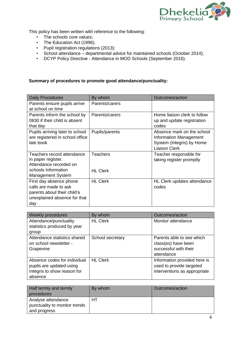

This policy has been written with reference to the following:

- The schools core values;
- The Education Act (1996);
- Pupil registration regulations (2013);
- School attendance departmental advice for maintained schools (October 2014);
- DCYP Policy Directive Attendance in MOD Schools (September 2016).

## **Summary of procedures to promote good attendance/punctuality:**

| <b>Daily Procedures</b>         | By whom         | Outcomes/action               |
|---------------------------------|-----------------|-------------------------------|
| Parents ensure pupils arrive    | Parents/carers  |                               |
| at school on time               |                 |                               |
| Parents inform the school by    | Parents/carers  | Home liaison clerk to follow  |
| 0830 if their child is absent   |                 | up and update registration    |
| that day                        |                 | codes                         |
| Pupils arriving later to school | Pupils/parents  | Absence mark on the school    |
| are registered in school office |                 | <b>Information Management</b> |
| late book                       |                 | System (Integris) by Home     |
|                                 |                 | <b>Liaison Clerk</b>          |
| Teachers record attendance      | Teachers        | Teacher responsible for       |
| in paper register.              |                 | taking register promptly      |
| Attendance recorded on          |                 |                               |
| schools Information             | <b>HL Clerk</b> |                               |
| <b>Management System</b>        |                 |                               |
| First day absence phone         | <b>HL Clerk</b> | HL Clerk updates attendance   |
| calls are made to ask           |                 | codes                         |
| parents about their child's     |                 |                               |
| unexplained absence for that    |                 |                               |
| day                             |                 |                               |

| Weekly procedures                                                                                  | By whom          | Outcomes/action                                                                          |
|----------------------------------------------------------------------------------------------------|------------------|------------------------------------------------------------------------------------------|
| Attendance/punctuality<br>statistics produced by year<br>group                                     | <b>HL Clerk</b>  | Monitor attendance                                                                       |
| Attendance statistics shared<br>on school newsletter -<br>Grapevine                                | School secretary | Parents able to see which<br>class(es) have been<br>successful with their<br>attendance  |
| Absence codes for individual<br>pupils are updated using<br>Integris to show reason for<br>absence | <b>HL Clerk</b>  | Information provided here is<br>used to provide targeted<br>interventions as appropriate |

| Half termly and termly<br>procedures | By whom | Outcomes/action |
|--------------------------------------|---------|-----------------|
| Analyse attendance                   | HT      |                 |
| punctuality to monitor trends        |         |                 |
| and progress                         |         |                 |